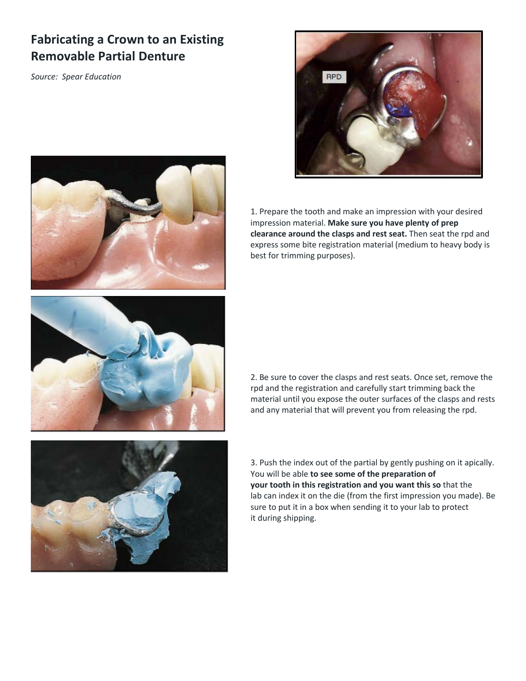## **Fabricating a Crown to an Existing Removable Partial Denture**

*Source: Spear Education* 







2. Be sure to cover the clasps and rest seats. Once set, remove the rpd and the registration and carefully start trimming back the material until you expose the outer surfaces of the clasps and rests and any material that will prevent you from releasing the rpd.



3. Push the index out of the partial by gently pushing on it apically. You will be able **to see some of the preparation of your tooth in this registration and you want this so** that the lab can index it on the die (from the first impression you made). Be sure to put it in a box when sending it to your lab to protect it during shipping.